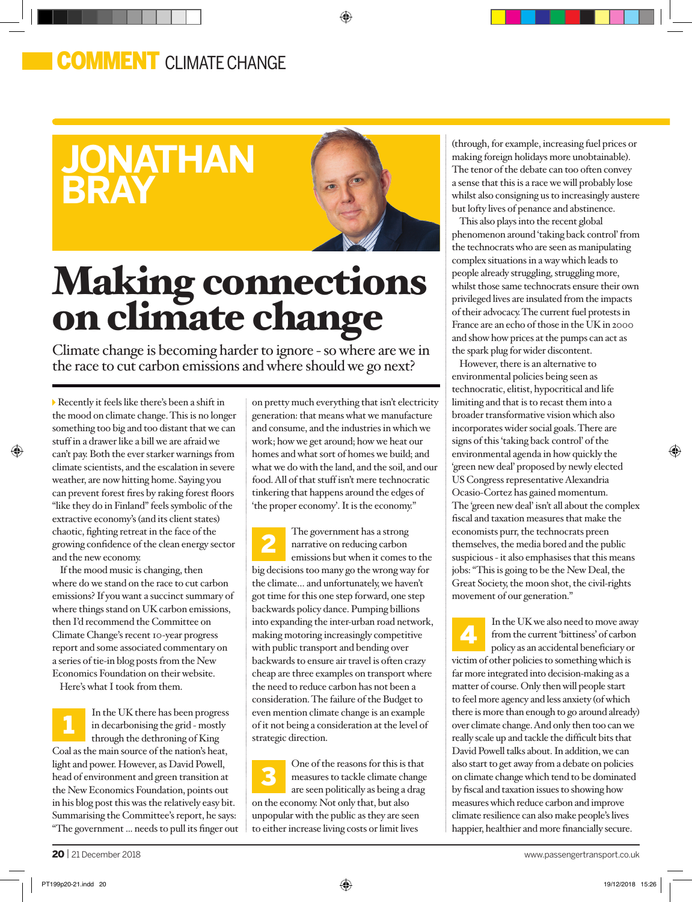## **COMMENT** CLIMATE CHANGE



⊕

## Making connections on climate change

Climate change is becoming harder to ignore - so where are we in the race to cut carbon emissions and where should we go next?

Recently it feels like there's been a shift in the mood on climate change. This is no longer something too big and too distant that we can stuff in a drawer like a bill we are afraid we can't pay. Both the ever starker warnings from climate scientists, and the escalation in severe weather, are now hitting home. Saying you can prevent forest fires by raking forest floors "like they do in Finland" feels symbolic of the extractive economy's (and its client states) chaotic, fighting retreat in the face of the growing confidence of the clean energy sector and the new economy.

If the mood music is changing, then where do we stand on the race to cut carbon emissions? If you want a succinct summary of where things stand on UK carbon emissions, then I'd recommend the Committee on Climate Change's recent 10-year progress report and some associated commentary on a series of tie-in blog posts from the New Economics Foundation on their website.

Here's what I took from them.

In the UK there has been progress in decarbonising the grid - mostly through the dethroning of King Coal as the main source of the nation's heat, light and power. However, as David Powell, head of environment and green transition at the New Economics Foundation, points out in his blog post this was the relatively easy bit. Summarising the Committee's report, he says: "The government ... needs to pull its finger out 1

on pretty much everything that isn't electricity generation: that means what we manufacture and consume, and the industries in which we work; how we get around; how we heat our homes and what sort of homes we build; and what we do with the land, and the soil, and our food. All of that stuff isn't mere technocratic tinkering that happens around the edges of 'the proper economy'. It is the economy."

The government has a strong narrative on reducing carbon emissions but when it comes to the big decisions too many go the wrong way for the climate… and unfortunately, we haven't got time for this one step forward, one step backwards policy dance. Pumping billions into expanding the inter-urban road network, making motoring increasingly competitive with public transport and bending over backwards to ensure air travel is often crazy cheap are three examples on transport where the need to reduce carbon has not been a consideration. The failure of the Budget to even mention climate change is an example of it not being a consideration at the level of strategic direction. 2

One of the reasons for this is that measures to tackle climate change are seen politically as being a drag on the economy. Not only that, but also unpopular with the public as they are seen to either increase living costs or limit lives 3

(through, for example, increasing fuel prices or making foreign holidays more unobtainable). The tenor of the debate can too often convey a sense that this is a race we will probably lose whilst also consigning us to increasingly austere but lofty lives of penance and abstinence.

This also plays into the recent global phenomenon around 'taking back control' from the technocrats who are seen as manipulating complex situations in a way which leads to people already struggling, struggling more, whilst those same technocrats ensure their own privileged lives are insulated from the impacts of their advocacy. The current fuel protests in France are an echo of those in the UK in 2000 and show how prices at the pumps can act as the spark plug for wider discontent.

However, there is an alternative to environmental policies being seen as technocratic, elitist, hypocritical and life limiting and that is to recast them into a broader transformative vision which also incorporates wider social goals. There are signs of this 'taking back control' of the environmental agenda in how quickly the 'green new deal' proposed by newly elected US Congress representative Alexandria Ocasio-Cortez has gained momentum. The 'green new deal' isn't all about the complex fiscal and taxation measures that make the economists purr, the technocrats preen themselves, the media bored and the public suspicious - it also emphasises that this means jobs: "This is going to be the New Deal, the Great Society, the moon shot, the civil-rights movement of our generation."

In the UK we also need to move away from the current 'bittiness' of carbon policy as an accidental beneficiary or victim of other policies to something which is far more integrated into decision-making as a matter of course. Only then will people start to feel more agency and less anxiety (of which there is more than enough to go around already) over climate change. And only then too can we really scale up and tackle the difficult bits that David Powell talks about. In addition, we can also start to get away from a debate on policies on climate change which tend to be dominated by fiscal and taxation issues to showing how measures which reduce carbon and improve climate resilience can also make people's lives happier, healthier and more financially secure. 4

⊕